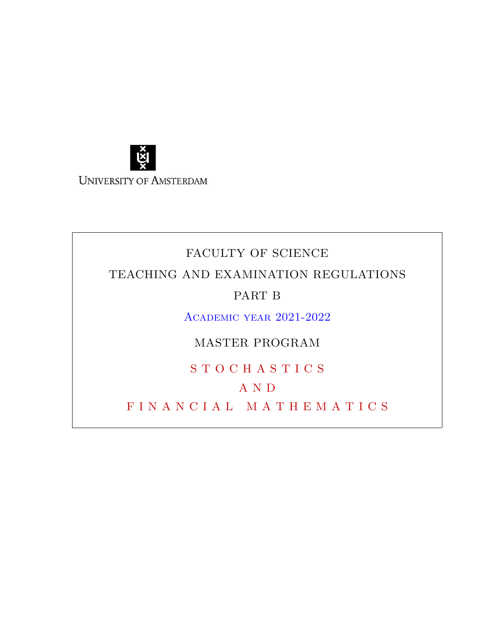

# FACULTY OF SCIENCE TEACHING AND EXAMINATION REGULATIONS PART B Academic year 2021-2022

MASTER PROGRAM

S T O C H A S T I C S

# A N D

F I N A N C I A L M A T H E M A T I C S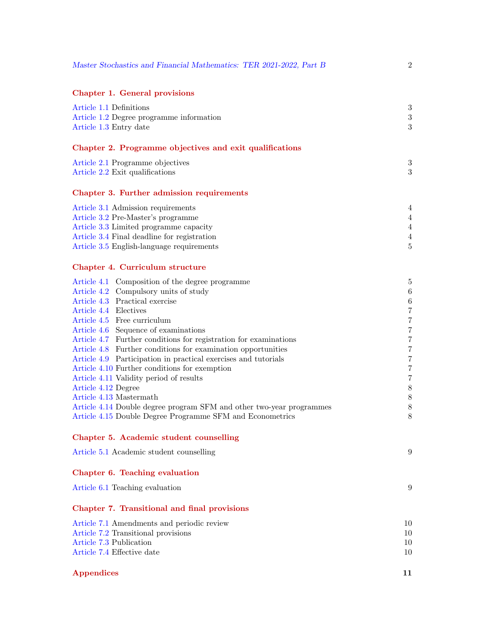| Master Stochastics and Financial Mathematics: TER 2021-2022, Part B                                             | $\overline{2}$          |
|-----------------------------------------------------------------------------------------------------------------|-------------------------|
| Chapter 1. General provisions                                                                                   |                         |
| Article 1.1 Definitions                                                                                         | $\boldsymbol{3}$        |
| Article 1.2 Degree programme information                                                                        | $\sqrt{3}$              |
| Article 1.3 Entry date                                                                                          | 3                       |
| Chapter 2. Programme objectives and exit qualifications                                                         |                         |
| Article 2.1 Programme objectives                                                                                | $\boldsymbol{3}$        |
| Article 2.2 Exit qualifications                                                                                 | 3                       |
| Chapter 3. Further admission requirements                                                                       |                         |
| Article 3.1 Admission requirements                                                                              | 4                       |
| Article 3.2 Pre-Master's programme                                                                              | 4                       |
| Article 3.3 Limited programme capacity                                                                          | 4                       |
| Article 3.4 Final deadline for registration                                                                     | 4                       |
| Article 3.5 English-language requirements                                                                       | $\overline{5}$          |
| Chapter 4. Curriculum structure                                                                                 |                         |
| Article 4.1 Composition of the degree programme                                                                 | 5                       |
| Article 4.2 Compulsory units of study                                                                           | $\,6\,$                 |
| Article 4.3 Practical exercise                                                                                  | $\,6\,$                 |
| Article 4.4 Electives                                                                                           | $\bf 7$                 |
| Article 4.5 Free curriculum                                                                                     | $\,7$                   |
| Article 4.6 Sequence of examinations                                                                            | $\,7$                   |
| Article 4.7 Further conditions for registration for examinations                                                | $\bf 7$                 |
| Article 4.8 Further conditions for examination opportunities                                                    | $\,7$<br>$\overline{7}$ |
| Article 4.9 Participation in practical exercises and tutorials<br>Article 4.10 Further conditions for exemption | $\,7$                   |
| Article 4.11 Validity period of results                                                                         | $\,7$                   |
| Article 4.12 Degree                                                                                             | $8\,$                   |
| Article 4.13 Mastermath                                                                                         | $8\,$                   |
| Article 4.14 Double degree program SFM and other two-year programmes                                            | $8\,$                   |
| Article 4.15 Double Degree Programme SFM and Econometrics                                                       | $8\,$                   |
| Chapter 5. Academic student counselling                                                                         |                         |
| Article 5.1 Academic student counselling                                                                        | 9                       |
| Chapter 6. Teaching evaluation                                                                                  |                         |
| Article 6.1 Teaching evaluation                                                                                 | 9                       |
| Chapter 7. Transitional and final provisions                                                                    |                         |
| Article 7.1 Amendments and periodic review                                                                      | 10                      |
| Article 7.2 Transitional provisions                                                                             | 10                      |
| Article 7.3 Publication                                                                                         | 10                      |
| Article 7.4 Effective date                                                                                      | 10                      |
| <b>Appendices</b>                                                                                               | 11                      |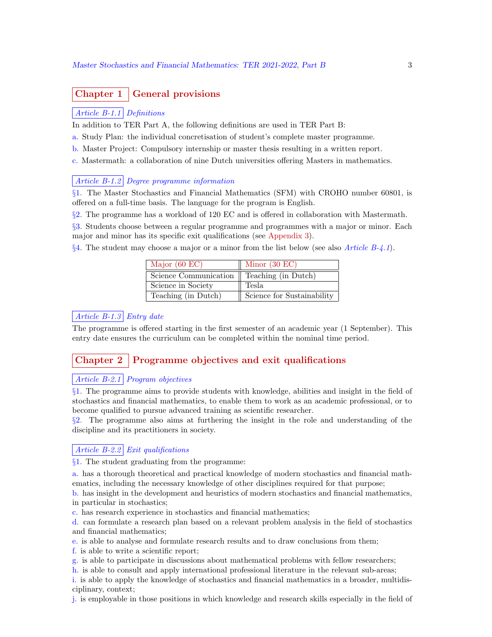## Chapter 1 | General provisions

#### Article B-1.1 Definitions

In addition to TER Part A, the following definitions are used in TER Part B:

- a. Study Plan: the individual concretisation of student's complete master programme.
- b. Master Project: Compulsory internship or master thesis resulting in a written report.

c. Mastermath: a collaboration of nine Dutch universities offering Masters in mathematics.

#### Article B-1.2 Degree programme information

§1. The Master Stochastics and Financial Mathematics (SFM) with CROHO number 60801, is offered on a full-time basis. The language for the program is English.

§2. The programme has a workload of 120 EC and is offered in collaboration with Mastermath.

§3. Students choose between a regular programme and programmes with a major or minor. Each major and minor has its specific exit qualifications (see Appendix 3).

 $\S 4$ . The student may choose a major or a minor from the list below (see also *Article B-4.1*).

| Major $(60)$ EC)      | Minor $(30 \text{ EC})$    |
|-----------------------|----------------------------|
| Science Communication | Teaching (in Dutch)        |
| Science in Society    | Tesla                      |
| Teaching (in Dutch)   | Science for Sustainability |

## Article B-1.3 Entry date

The programme is offered starting in the first semester of an academic year (1 September). This entry date ensures the curriculum can be completed within the nominal time period.

## Chapter 2 Programme objectives and exit qualifications

#### Article B-2.1 Program objectives

§1. The programme aims to provide students with knowledge, abilities and insight in the field of stochastics and financial mathematics, to enable them to work as an academic professional, or to become qualified to pursue advanced training as scientific researcher.

§2. The programme also aims at furthering the insight in the role and understanding of the discipline and its practitioners in society.

#### Article B-2.2 Exit qualifications

§1. The student graduating from the programme:

a. has a thorough theoretical and practical knowledge of modern stochastics and financial mathematics, including the necessary knowledge of other disciplines required for that purpose;

b. has insight in the development and heuristics of modern stochastics and financial mathematics, in particular in stochastics;

c. has research experience in stochastics and financial mathematics;

d. can formulate a research plan based on a relevant problem analysis in the field of stochastics and financial mathematics;

e. is able to analyse and formulate research results and to draw conclusions from them;

f. is able to write a scientific report;

g. is able to participate in discussions about mathematical problems with fellow researchers;

h. is able to consult and apply international professional literature in the relevant sub-areas;

i. is able to apply the knowledge of stochastics and financial mathematics in a broader, multidisciplinary, context;

j. is employable in those positions in which knowledge and research skills especially in the field of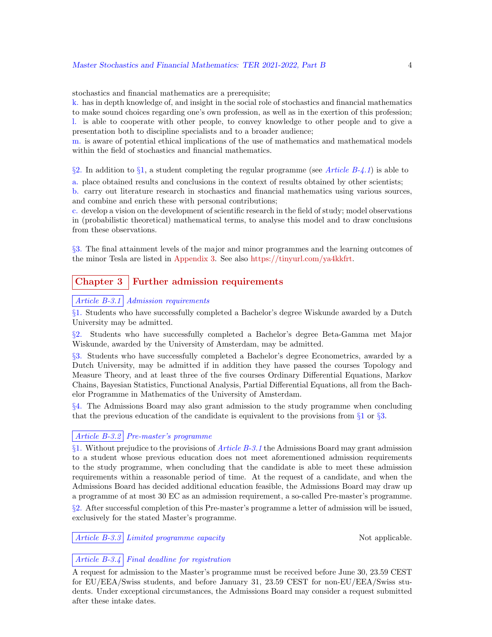stochastics and financial mathematics are a prerequisite;

k. has in depth knowledge of, and insight in the social role of stochastics and financial mathematics to make sound choices regarding one's own profession, as well as in the exertion of this profession; l. is able to cooperate with other people, to convey knowledge to other people and to give a presentation both to discipline specialists and to a broader audience;

m. is aware of potential ethical implications of the use of mathematics and mathematical models within the field of stochastics and financial mathematics.

§2. In addition to §1, a student completing the regular programme (see Article  $B-4.1$ ) is able to

a. place obtained results and conclusions in the context of results obtained by other scientists;

b. carry out literature research in stochastics and financial mathematics using various sources, and combine and enrich these with personal contributions;

c. develop a vision on the development of scientific research in the field of study; model observations in (probabilistic theoretical) mathematical terms, to analyse this model and to draw conclusions from these observations.

§3. The final attainment levels of the major and minor programmes and the learning outcomes of the minor Tesla are listed in Appendix 3. See also https://tinyurl.com/ya4kkfrt.

## Chapter 3 Further admission requirements

#### Article B-3.1 Admission requirements

§1. Students who have successfully completed a Bachelor's degree Wiskunde awarded by a Dutch University may be admitted.

§2. Students who have successfully completed a Bachelor's degree Beta-Gamma met Major Wiskunde, awarded by the University of Amsterdam, may be admitted.

§3. Students who have successfully completed a Bachelor's degree Econometrics, awarded by a Dutch University, may be admitted if in addition they have passed the courses Topology and Measure Theory, and at least three of the five courses Ordinary Differential Equations, Markov Chains, Bayesian Statistics, Functional Analysis, Partial Differential Equations, all from the Bachelor Programme in Mathematics of the University of Amsterdam.

§4. The Admissions Board may also grant admission to the study programme when concluding that the previous education of the candidate is equivalent to the provisions from  $\S1$  or  $\S3$ .

#### Article B-3.2 Pre-master's programme

 $§1.$  Without prejudice to the provisions of *Article B-3.1* the Admissions Board may grant admission to a student whose previous education does not meet aforementioned admission requirements to the study programme, when concluding that the candidate is able to meet these admission requirements within a reasonable period of time. At the request of a candidate, and when the Admissions Board has decided additional education feasible, the Admissions Board may draw up a programme of at most 30 EC as an admission requirement, a so-called Pre-master's programme. §2. After successful completion of this Pre-master's programme a letter of admission will be issued, exclusively for the stated Master's programme.

Article B-3.3 Limited programme capacity Not applicable.

## Article B-3.4 Final deadline for registration

A request for admission to the Master's programme must be received before June 30, 23.59 CEST for EU/EEA/Swiss students, and before January 31, 23.59 CEST for non-EU/EEA/Swiss students. Under exceptional circumstances, the Admissions Board may consider a request submitted after these intake dates.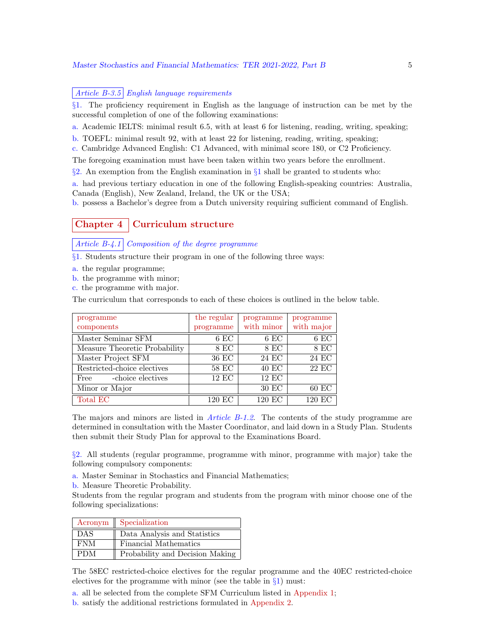#### Master Stochastics and Financial Mathematics: TER 2021-2022, Part B 5

#### Article  $B-3.5$  English language requirements

§1. The proficiency requirement in English as the language of instruction can be met by the successful completion of one of the following examinations:

a. Academic IELTS: minimal result 6.5, with at least 6 for listening, reading, writing, speaking;

b. TOEFL: minimal result 92, with at least 22 for listening, reading, writing, speaking;

c. Cambridge Advanced English: C1 Advanced, with minimal score 180, or C2 Proficiency.

The foregoing examination must have been taken within two years before the enrollment.

 $\S$ 2. An exemption from the English examination in  $\S$ 1 shall be granted to students who:

a. had previous tertiary education in one of the following English-speaking countries: Australia, Canada (English), New Zealand, Ireland, the UK or the USA;

b. possess a Bachelor's degree from a Dutch university requiring sufficient command of English.

## Chapter 4 | Curriculum structure

Article B-4.1 Composition of the degree programme

§1. Students structure their program in one of the following three ways:

a. the regular programme;

b. the programme with minor;

c. the programme with major.

The curriculum that corresponds to each of these choices is outlined in the below table.

| programme                     | the regular | programme    | programme  |
|-------------------------------|-------------|--------------|------------|
| components                    | programme   | with minor   | with major |
| Master Seminar SFM            | $6$ EC      | $6$ EC       | $6$ EC     |
| Measure Theoretic Probability | 8 EC        | 8 EC         | 8 EC       |
| Master Project SFM            | 36 EC       | 24 EC        | 24 EC      |
| Restricted-choice electives   | 58 EC       | 40 EC        | 22 EC      |
| -choice electives<br>Free     | $12$ EC     | <b>12 EC</b> |            |
| Minor or Major                |             | 30 EC        | $60$ EC    |
| Total EC                      | 120 EC      | 120 EC       | 120 EC     |

The majors and minors are listed in *Article B-1.2*. The contents of the study programme are determined in consultation with the Master Coordinator, and laid down in a Study Plan. Students then submit their Study Plan for approval to the Examinations Board.

§2. All students (regular programme, programme with minor, programme with major) take the following compulsory components:

- a. Master Seminar in Stochastics and Financial Mathematics;
- b. Measure Theoretic Probability.

Students from the regular program and students from the program with minor choose one of the following specializations:

|            | Acronym    Specialization       |
|------------|---------------------------------|
| <b>DAS</b> | Data Analysis and Statistics    |
| <b>FNM</b> | Financial Mathematics           |
| PDM        | Probability and Decision Making |

The 58EC restricted-choice electives for the regular programme and the 40EC restricted-choice electives for the programme with minor (see the table in  $\S1$ ) must:

a. all be selected from the complete SFM Curriculum listed in Appendix 1;

b. satisfy the additional restrictions formulated in Appendix 2.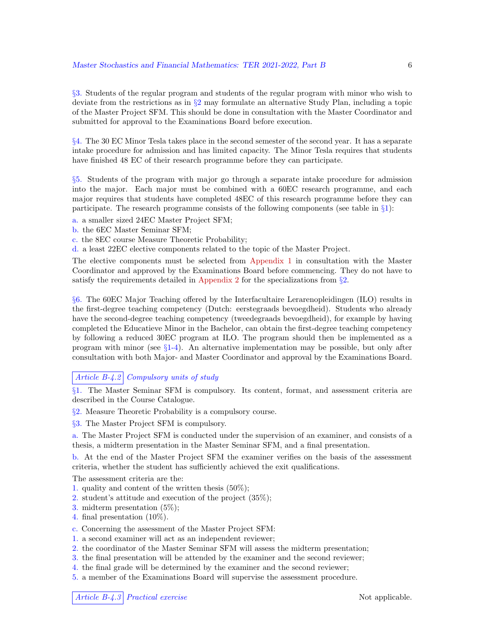§3. Students of the regular program and students of the regular program with minor who wish to deviate from the restrictions as in  $\S2$  may formulate an alternative Study Plan, including a topic of the Master Project SFM. This should be done in consultation with the Master Coordinator and submitted for approval to the Examinations Board before execution.

§4. The 30 EC Minor Tesla takes place in the second semester of the second year. It has a separate intake procedure for admission and has limited capacity. The Minor Tesla requires that students have finished 48 EC of their research programme before they can participate.

§5. Students of the program with major go through a separate intake procedure for admission into the major. Each major must be combined with a 60EC research programme, and each major requires that students have completed 48EC of this research programme before they can participate. The research programme consists of the following components (see table in §1):

a. a smaller sized 24EC Master Project SFM;

- b. the 6EC Master Seminar SFM;
- c. the 8EC course Measure Theoretic Probability;

d. a least 22EC elective components related to the topic of the Master Project.

The elective components must be selected from Appendix 1 in consultation with the Master Coordinator and approved by the Examinations Board before commencing. They do not have to satisfy the requirements detailed in Appendix 2 for the specializations from  $\S$ .

§6. The 60EC Major Teaching offered by the Interfacultaire Lerarenopleidingen (ILO) results in the first-degree teaching competency (Dutch: eerstegraads bevoegdheid). Students who already have the second-degree teaching competency (tweedegraads bevoegdheid), for example by having completed the Educatieve Minor in the Bachelor, can obtain the first-degree teaching competency by following a reduced 30EC program at ILO. The program should then be implemented as a program with minor (see  $\S 1-4$ ). An alternative implementation may be possible, but only after consultation with both Major- and Master Coordinator and approval by the Examinations Board.

#### Article B-4.2 Compulsory units of study

§1. The Master Seminar SFM is compulsory. Its content, format, and assessment criteria are described in the Course Catalogue.

§2. Measure Theoretic Probability is a compulsory course.

§3. The Master Project SFM is compulsory.

a. The Master Project SFM is conducted under the supervision of an examiner, and consists of a thesis, a midterm presentation in the Master Seminar SFM, and a final presentation.

b. At the end of the Master Project SFM the examiner verifies on the basis of the assessment criteria, whether the student has sufficiently achieved the exit qualifications.

The assessment criteria are the:

- 1. quality and content of the written thesis (50%);
- 2. student's attitude and execution of the project (35%);
- 3. midterm presentation (5%);
- 4. final presentation (10%).
- c. Concerning the assessment of the Master Project SFM:
- 1. a second examiner will act as an independent reviewer;
- 2. the coordinator of the Master Seminar SFM will assess the midterm presentation;
- 3. the final presentation will be attended by the examiner and the second reviewer;
- 4. the final grade will be determined by the examiner and the second reviewer;
- 5. a member of the Examinations Board will supervise the assessment procedure.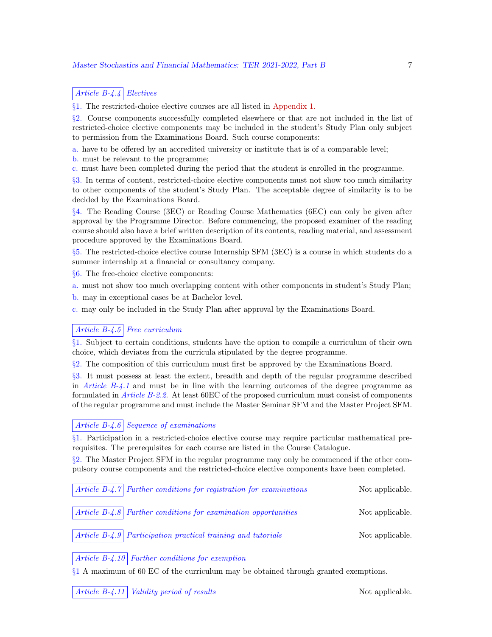#### Article B-4.4 Electives

§1. The restricted-choice elective courses are all listed in Appendix 1.

§2. Course components successfully completed elsewhere or that are not included in the list of restricted-choice elective components may be included in the student's Study Plan only subject to permission from the Examinations Board. Such course components:

a. have to be offered by an accredited university or institute that is of a comparable level;

b. must be relevant to the programme;

c. must have been completed during the period that the student is enrolled in the programme.

§3. In terms of content, restricted-choice elective components must not show too much similarity to other components of the student's Study Plan. The acceptable degree of similarity is to be decided by the Examinations Board.

§4. The Reading Course (3EC) or Reading Course Mathematics (6EC) can only be given after approval by the Programme Director. Before commencing, the proposed examiner of the reading course should also have a brief written description of its contents, reading material, and assessment procedure approved by the Examinations Board.

§5. The restricted-choice elective course Internship SFM (3EC) is a course in which students do a summer internship at a financial or consultancy company.

§6. The free-choice elective components:

a. must not show too much overlapping content with other components in student's Study Plan;

b. may in exceptional cases be at Bachelor level.

c. may only be included in the Study Plan after approval by the Examinations Board.

#### Article  $B-4.5$  Free curriculum

§1. Subject to certain conditions, students have the option to compile a curriculum of their own choice, which deviates from the curricula stipulated by the degree programme.

§2. The composition of this curriculum must first be approved by the Examinations Board.

§3. It must possess at least the extent, breadth and depth of the regular programme described in Article  $B-4.1$  and must be in line with the learning outcomes of the degree programme as formulated in *Article B-2.2.* At least 60EC of the proposed curriculum must consist of components of the regular programme and must include the Master Seminar SFM and the Master Project SFM.

#### Article  $B-4.6$  Sequence of examinations

§1. Participation in a restricted-choice elective course may require particular mathematical prerequisites. The prerequisites for each course are listed in the Course Catalogue.

§2. The Master Project SFM in the regular programme may only be commenced if the other compulsory course components and the restricted-choice elective components have been completed.

|  | $\vert$ Article B-4.7 Further conditions for registration for examinations | Not applicable. |
|--|----------------------------------------------------------------------------|-----------------|
|  | $\vert$ Article B-4.8 Further conditions for examination opportunities     | Not applicable. |
|  | Article B-4.9 Participation practical training and tutorials               | Not applicable. |

#### Article  $B-4.10$  Further conditions for exemption

§1 A maximum of 60 EC of the curriculum may be obtained through granted exemptions.

Article B-4.11 Validity period of results Not applicable.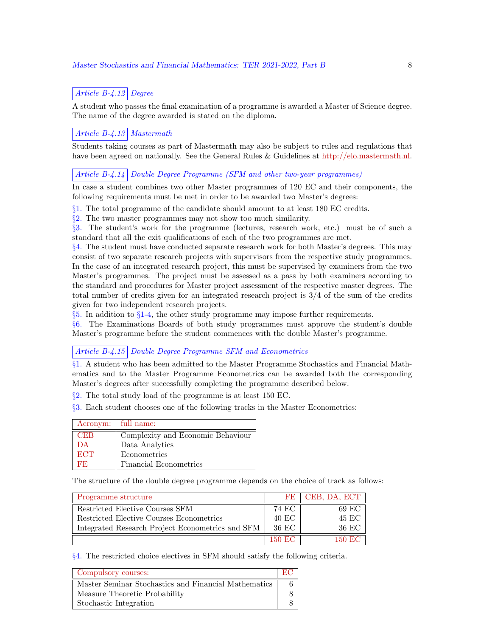## Article B-4.12 Degree

A student who passes the final examination of a programme is awarded a Master of Science degree. The name of the degree awarded is stated on the diploma.

#### Article B-4.13 Mastermath

Students taking courses as part of Mastermath may also be subject to rules and regulations that have been agreed on nationally. See the General Rules & Guidelines at http://elo.mastermath.nl.

#### Article B-4.14 Double Degree Programme (SFM and other two-year programmes)

In case a student combines two other Master programmes of 120 EC and their components, the following requirements must be met in order to be awarded two Master's degrees:

§1. The total programme of the candidate should amount to at least 180 EC credits.

§2. The two master programmes may not show too much similarity.

§3. The student's work for the programme (lectures, research work, etc.) must be of such a standard that all the exit qualifications of each of the two programmes are met.

 $§4.$  The student must have conducted separate research work for both Master's degrees. This may consist of two separate research projects with supervisors from the respective study programmes. In the case of an integrated research project, this must be supervised by examiners from the two Master's programmes. The project must be assessed as a pass by both examiners according to the standard and procedures for Master project assessment of the respective master degrees. The total number of credits given for an integrated research project is 3/4 of the sum of the credits given for two independent research projects.

§5. In addition to §1-4, the other study programme may impose further requirements.

§6. The Examinations Boards of both study programmes must approve the student's double Master's programme before the student commences with the double Master's programme.

#### Article B-4.15 Double Degree Programme SFM and Econometrics

§1. A student who has been admitted to the Master Programme Stochastics and Financial Mathematics and to the Master Programme Econometrics can be awarded both the corresponding Master's degrees after successfully completing the programme described below.

§2. The total study load of the programme is at least 150 EC.

§3. Each student chooses one of the following tracks in the Master Econometrics:

|            | Acronym:   full name:             |
|------------|-----------------------------------|
| <b>CEB</b> | Complexity and Economic Behaviour |
| DA         | Data Analytics                    |
| <b>ECT</b> | Econometrics                      |
| RЕ.        | Financial Econometrics            |

The structure of the double degree programme depends on the choice of track as follows:

| Programme structure                              | FF <sub>1</sub> | CEB, DA, ECT |
|--------------------------------------------------|-----------------|--------------|
| Restricted Elective Courses SFM                  | 74 EC           | 69 EC        |
| Restricted Elective Courses Econometrics         | 40 EC           | 45 EC        |
| Integrated Research Project Econometrics and SFM | 36 EC           | 36 EC        |
|                                                  | 150 EC          | 150 EC       |

§4. The restricted choice electives in SFM should satisfy the following criteria.

| Compulsory courses:                                  | - HM - |
|------------------------------------------------------|--------|
| Master Seminar Stochastics and Financial Mathematics |        |
| Measure Theoretic Probability                        |        |
| Stochastic Integration                               |        |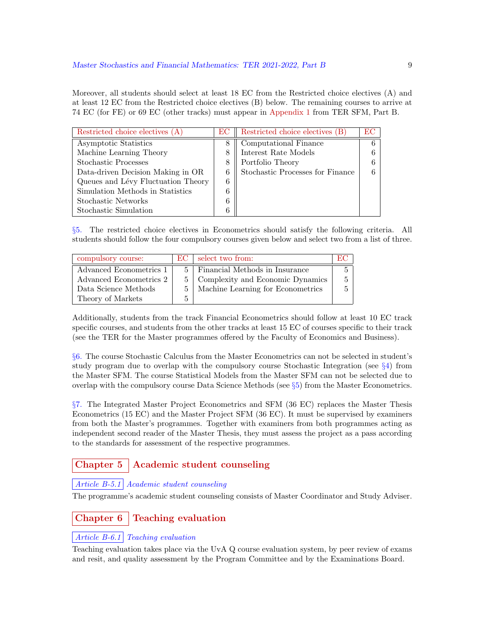Moreover, all students should select at least 18 EC from the Restricted choice electives (A) and at least 12 EC from the Restricted choice electives (B) below. The remaining courses to arrive at 74 EC (for FE) or 69 EC (other tracks) must appear in Appendix 1 from TER SFM, Part B.

| Restricted choice electives (A)    | EС | Restricted choice electives (B)  | EС |
|------------------------------------|----|----------------------------------|----|
| Asymptotic Statistics              | 8  | Computational Finance            |    |
| Machine Learning Theory            | 8  | Interest Rate Models             |    |
| Stochastic Processes               | 8  | Portfolio Theory                 |    |
| Data-driven Decision Making in OR  | 6  | Stochastic Processes for Finance |    |
| Queues and Lévy Fluctuation Theory | 6  |                                  |    |
| Simulation Methods in Statistics   | 6  |                                  |    |
| Stochastic Networks                | 6  |                                  |    |
| Stochastic Simulation              | 6  |                                  |    |

§5. The restricted choice electives in Econometrics should satisfy the following criteria. All students should follow the four compulsory courses given below and select two from a list of three.

| compulsory course:      | EC.            | select two from:                     | EC. |
|-------------------------|----------------|--------------------------------------|-----|
| Advanced Econometrics 1 | 5.             | Financial Methods in Insurance       |     |
| Advanced Econometrics 2 |                | 5   Complexity and Economic Dynamics |     |
| Data Science Methods    | 5 <sup>1</sup> | Machine Learning for Econometrics    |     |
| Theory of Markets       | 5              |                                      |     |

Additionally, students from the track Financial Econometrics should follow at least 10 EC track specific courses, and students from the other tracks at least 15 EC of courses specific to their track (see the TER for the Master programmes offered by the Faculty of Economics and Business).

§6. The course Stochastic Calculus from the Master Econometrics can not be selected in student's study program due to overlap with the compulsory course Stochastic Integration (see §4) from the Master SFM. The course Statistical Models from the Master SFM can not be selected due to overlap with the compulsory course Data Science Methods (see  $\S5$ ) from the Master Econometrics.

§7. The Integrated Master Project Econometrics and SFM (36 EC) replaces the Master Thesis Econometrics (15 EC) and the Master Project SFM (36 EC). It must be supervised by examiners from both the Master's programmes. Together with examiners from both programmes acting as independent second reader of the Master Thesis, they must assess the project as a pass according to the standards for assessment of the respective programmes.

## Chapter 5 | Academic student counseling

#### Article B-5.1 Academic student counseling

The programme's academic student counseling consists of Master Coordinator and Study Adviser.

## Chapter 6 Teaching evaluation

#### Article B-6.1 Teaching evaluation

Teaching evaluation takes place via the UvA Q course evaluation system, by peer review of exams and resit, and quality assessment by the Program Committee and by the Examinations Board.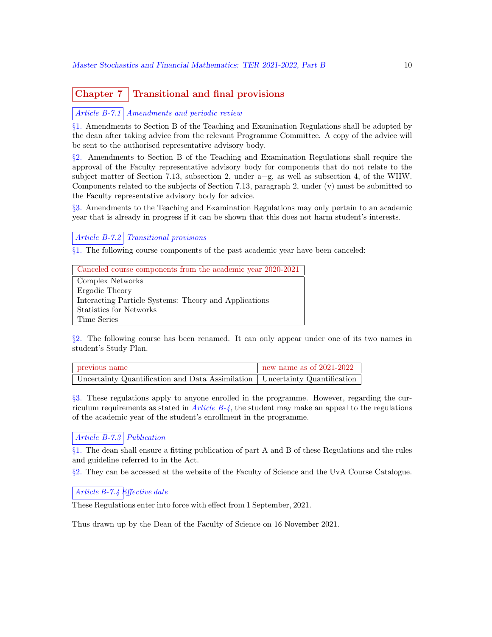## Chapter  $7 \mid$  Transitional and final provisions

Article B-7.1 Amendments and periodic review

§1. Amendments to Section B of the Teaching and Examination Regulations shall be adopted by the dean after taking advice from the relevant Programme Committee. A copy of the advice will be sent to the authorised representative advisory body.

§2. Amendments to Section B of the Teaching and Examination Regulations shall require the approval of the Faculty representative advisory body for components that do not relate to the subject matter of Section 7.13, subsection 2, under a−g, as well as subsection 4, of the WHW. Components related to the subjects of Section 7.13, paragraph 2, under (v) must be submitted to the Faculty representative advisory body for advice.

§3. Amendments to the Teaching and Examination Regulations may only pertain to an academic year that is already in progress if it can be shown that this does not harm student's interests.

Article B-7.2 Transitional provisions

§1. The following course components of the past academic year have been canceled:

| Canceled course components from the academic year 2020-2021 |
|-------------------------------------------------------------|
| Complex Networks                                            |
| Ergodic Theory                                              |
| Interacting Particle Systems: Theory and Applications       |
| Statistics for Networks                                     |
| Time Series                                                 |

§2. The following course has been renamed. It can only appear under one of its two names in student's Study Plan.

| previous name                                                                 | $\pm$ new name as of 2021-2022 |
|-------------------------------------------------------------------------------|--------------------------------|
| Uncertainty Quantification and Data Assimilation   Uncertainty Quantification |                                |

§3. These regulations apply to anyone enrolled in the programme. However, regarding the curriculum requirements as stated in *Article B-4*, the student may make an appeal to the regulations of the academic year of the student's enrollment in the programme.

## Article B-7.3 Publication

§1. The dean shall ensure a fitting publication of part A and B of these Regulations and the rules and guideline referred to in the Act.

§2. They can be accessed at the website of the Faculty of Science and the UvA Course Catalogue.

#### Article B-7.4 Effective date

These Regulations enter into force with effect from 1 September, 2021.

Thus drawn up by the Dean of the Faculty of Science on 16 November 2021.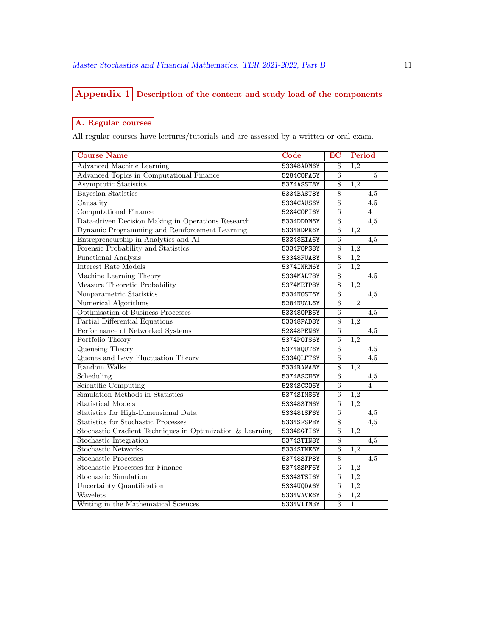## Appendix 1 Description of the content and study load of the components

## A. Regular courses

All regular courses have lectures/tutorials and are assessed by a written or oral exam.

| <b>Course Name</b>                                        | Code       | <b>EC</b> | Period           |
|-----------------------------------------------------------|------------|-----------|------------------|
| <b>Advanced Machine Learning</b>                          | 53348ADM6Y | 6         | 1,2              |
| <b>Advanced Topics in Computational Finance</b>           | 5284C0FA6Y | 6         | $\overline{5}$   |
| Asymptotic Statistics                                     | 5374ASST8Y | 8         | 1,2              |
| <b>Bayesian Statistics</b>                                | 5334BAST8Y | 8         | 4,5              |
| Causality                                                 | 5334CAUS6Y | 6         | 4,5              |
| <b>Computational Finance</b>                              | 5284C0FI6Y | 6         | $\overline{4}$   |
| Data-driven Decision Making in Operations Research        | 5334DDDM6Y | 6         | 4,5              |
| Dynamic Programming and Reinforcement Learning            | 53348DPR6Y | 6         | 1,2              |
| Entrepreneurship in Analytics and AI                      | 53348EIA6Y | 6         | 4,5              |
| Forensic Probability and Statistics                       | 5334F0PS8Y | 8         | 1,2              |
| <b>Functional Analysis</b>                                | 53348FUA8Y | 8         | 1,2              |
| Interest Rate Models                                      | 5374INRM6Y | 6         | 1,2              |
| Machine Learning Theory                                   | 5334MALT8Y | 8         | 4,5              |
| Measure Theoretic Probability                             | 5374METP8Y | 8         | 1,2              |
| Nonparametric Statistics                                  | 5334N0ST6Y | 6         | $\overline{4,5}$ |
| Numerical Algorithms                                      | 5284NUAL6Y | 6         | $\overline{2}$   |
| Optimisation of Business Processes                        | 533480PB6Y | 6         | 4,5              |
| Partial Differential Equations                            | 53348PAD8Y | $8\,$     | 1,2              |
| Performance of Networked Systems                          | 52848PEN6Y | 6         | 4,5              |
| Portfolio Theory                                          | 5374P0TS6Y | 6         | 1,2              |
| Queueing Theory                                           | 53748QUT6Y | 6         | 4,5              |
| Queues and Levy Fluctuation Theory                        | 5334QLFT6Y | 6         | 4,5              |
| Random Walks                                              | 5334RAWA8Y | 8         | 1,2              |
| Scheduling                                                | 53748SCH6Y | 6         | 4,5              |
| <b>Scientific Computing</b>                               | 5284SCC06Y | 6         | $\overline{4}$   |
| Simulation Methods in Statistics                          | 5374SIMS6Y | 6         | 1,2              |
| <b>Statistical Models</b>                                 | 53348STM6Y | 6         | 1,2              |
| Statistics for High-Dimensional Data                      | 533481SF6Y | 6         | 4,5              |
| <b>Statistics for Stochastic Processes</b>                | 5334SFSP8Y | 8         | 4,5              |
| Stochastic Gradient Techniques in Optimization & Learning | 5334SGTI6Y | 6         | $\overline{1,2}$ |
| Stochastic Integration                                    | 5374STIN8Y | 8         | 4,5              |
| <b>Stochastic Networks</b>                                | 5334STNE6Y | 6         | 1,2              |
| <b>Stochastic Processes</b>                               | 53748STP8Y | 8         | 4,5              |
| Stochastic Processes for Finance                          | 53748SPF6Y | 6         | 1,2              |
| <b>Stochastic Simulation</b>                              | 5334STSI6Y | 6         | 1,2              |
| Uncertainty Quantification                                | 5334UQDA6Y | 6         | 1,2              |
| Wavelets                                                  | 5334WAVE6Y | $\,6$     | $1,\overline{2}$ |
| Writing in the Mathematical Sciences                      | 5334WITM3Y | 3         | $\,1$            |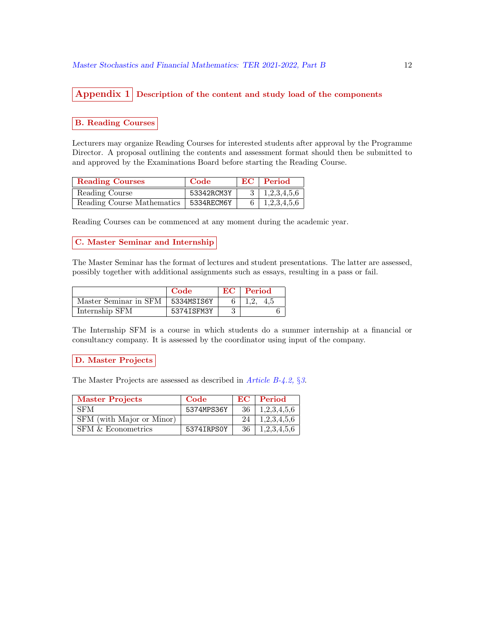## Appendix  $1$  Description of the content and study load of the components

#### B. Reading Courses

Lecturers may organize Reading Courses for interested students after approval by the Programme Director. A proposal outlining the contents and assessment format should then be submitted to and approved by the Examinations Board before starting the Reading Course.

| <b>Reading Courses</b>                  | Code       | $EC$   Period             |
|-----------------------------------------|------------|---------------------------|
| Reading Course                          | 53342RCM3Y | $3 \mid 1,2,3,4,5,6 \mid$ |
| Reading Course Mathematics   5334RECM6Y |            | $6 \mid 1,2,3,4,5,6 \mid$ |

Reading Courses can be commenced at any moment during the academic year.

#### C. Master Seminar and Internship

The Master Seminar has the format of lectures and student presentations. The latter are assessed, possibly together with additional assignments such as essays, resulting in a pass or fail.

|                                    | Code       | EC - | Period |
|------------------------------------|------------|------|--------|
| Master Seminar in SFM   5334MSIS6Y |            |      |        |
| Internship SFM                     | 5374ISFM3Y |      |        |

The Internship SFM is a course in which students do a summer internship at a financial or consultancy company. It is assessed by the coordinator using input of the company.

#### D. Master Projects

The Master Projects are assessed as described in *Article B-4.2*, §3.

| <b>Master Projects</b>    | Code       |     | $EC$   Period |
|---------------------------|------------|-----|---------------|
| <b>SFM</b>                | 5374MPS36Y | -36 | 1,2,3,4,5,6   |
| SFM (with Major or Minor) |            | 24  | 1,2,3,4,5,6   |
| SFM & Econometrics        | 5374IRPS0Y | -36 | 1,2,3,4,5,6   |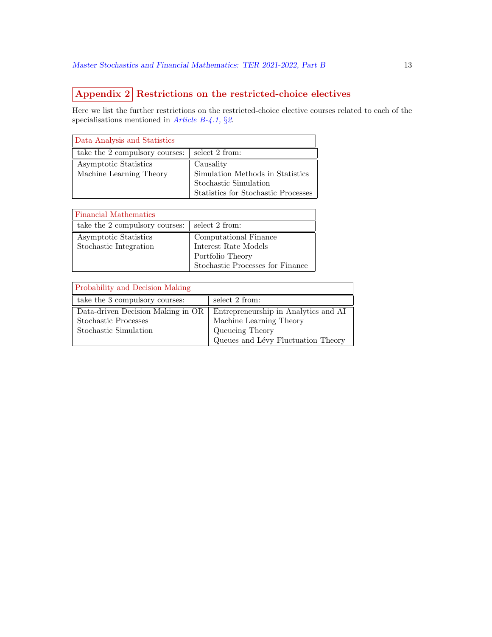# Appendix 2 Restrictions on the restricted-choice electives

Here we list the further restrictions on the restricted-choice elective courses related to each of the specialisations mentioned in Article B-4.1,  $\S$ 2.

| Data Analysis and Statistics   |                                     |
|--------------------------------|-------------------------------------|
| take the 2 compulsory courses: | select 2 from:                      |
| Asymptotic Statistics          | Causality                           |
| Machine Learning Theory        | Simulation Methods in Statistics    |
|                                | Stochastic Simulation               |
|                                | Statistics for Stochastic Processes |

| <b>Financial Mathematics</b>   |                                  |
|--------------------------------|----------------------------------|
| take the 2 compulsory courses: | select 2 from:                   |
| Asymptotic Statistics          | Computational Finance            |
| Stochastic Integration         | Interest Rate Models             |
|                                | Portfolio Theory                 |
|                                | Stochastic Processes for Finance |

| <b>Probability and Decision Making</b> |                                      |
|----------------------------------------|--------------------------------------|
| take the 3 compulsory courses:         | select 2 from:                       |
| Data-driven Decision Making in OR      | Entrepreneurship in Analytics and AI |
| Stochastic Processes                   | Machine Learning Theory              |
| Stochastic Simulation                  | Queueing Theory                      |
|                                        | Queues and Lévy Fluctuation Theory   |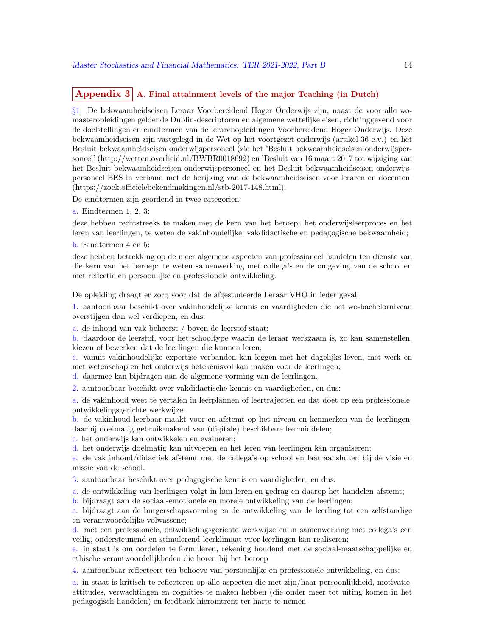## Appendix  $3 \nvert A$ . Final attainment levels of the major Teaching (in Dutch)

§1. De bekwaamheidseisen Leraar Voorbereidend Hoger Onderwijs zijn, naast de voor alle womasteropleidingen geldende Dublin-descriptoren en algemene wettelijke eisen, richtinggevend voor de doelstellingen en eindtermen van de lerarenopleidingen Voorbereidend Hoger Onderwijs. Deze bekwaamheidseisen zijn vastgelegd in de Wet op het voortgezet onderwijs (artikel 36 e.v.) en het Besluit bekwaamheidseisen onderwijspersoneel (zie het 'Besluit bekwaamheidseisen onderwijspersoneel' (http://wetten.overheid.nl/BWBR0018692) en 'Besluit van 16 maart 2017 tot wijziging van het Besluit bekwaamheidseisen onderwijspersoneel en het Besluit bekwaamheidseisen onderwijspersoneel BES in verband met de herijking van de bekwaamheidseisen voor leraren en docenten' (https://zoek.officielebekendmakingen.nl/stb-2017-148.html).

De eindtermen zijn geordend in twee categorien:

a. Eindtermen 1, 2, 3:

deze hebben rechtstreeks te maken met de kern van het beroep: het onderwijsleerproces en het leren van leerlingen, te weten de vakinhoudelijke, vakdidactische en pedagogische bekwaamheid;

b. Eindtermen 4 en 5:

deze hebben betrekking op de meer algemene aspecten van professioneel handelen ten dienste van die kern van het beroep: te weten samenwerking met collega's en de omgeving van de school en met reflectie en persoonlijke en professionele ontwikkeling.

De opleiding draagt er zorg voor dat de afgestudeerde Leraar VHO in ieder geval:

1. aantoonbaar beschikt over vakinhoudelijke kennis en vaardigheden die het wo-bachelorniveau overstijgen dan wel verdiepen, en dus:

a. de inhoud van vak beheerst / boven de leerstof staat;

b. daardoor de leerstof, voor het schooltype waarin de leraar werkzaam is, zo kan samenstellen, kiezen of bewerken dat de leerlingen die kunnen leren;

c. vanuit vakinhoudelijke expertise verbanden kan leggen met het dagelijks leven, met werk en met wetenschap en het onderwijs betekenisvol kan maken voor de leerlingen;

d. daarmee kan bijdragen aan de algemene vorming van de leerlingen.

2. aantoonbaar beschikt over vakdidactische kennis en vaardigheden, en dus:

a. de vakinhoud weet te vertalen in leerplannen of leertrajecten en dat doet op een professionele, ontwikkelingsgerichte werkwijze;

b. de vakinhoud leerbaar maakt voor en afstemt op het niveau en kenmerken van de leerlingen, daarbij doelmatig gebruikmakend van (digitale) beschikbare leermiddelen;

c. het onderwijs kan ontwikkelen en evalueren;

d. het onderwijs doelmatig kan uitvoeren en het leren van leerlingen kan organiseren;

e. de vak inhoud/didactiek afstemt met de collega's op school en laat aansluiten bij de visie en missie van de school.

3. aantoonbaar beschikt over pedagogische kennis en vaardigheden, en dus:

a. de ontwikkeling van leerlingen volgt in hun leren en gedrag en daarop het handelen afstemt;

b. bijdraagt aan de sociaal-emotionele en morele ontwikkeling van de leerlingen;

c. bijdraagt aan de burgerschapsvorming en de ontwikkeling van de leerling tot een zelfstandige en verantwoordelijke volwassene;

d. met een professionele, ontwikkelingsgerichte werkwijze en in samenwerking met collega's een veilig, ondersteunend en stimulerend leerklimaat voor leerlingen kan realiseren;

e. in staat is om oordelen te formuleren, rekening houdend met de sociaal-maatschappelijke en ethische verantwoordelijkheden die horen bij het beroep

4. aantoonbaar reflecteert ten behoeve van persoonlijke en professionele ontwikkeling, en dus:

a. in staat is kritisch te reflecteren op alle aspecten die met zijn/haar persoonlijkheid, motivatie, attitudes, verwachtingen en cognities te maken hebben (die onder meer tot uiting komen in het pedagogisch handelen) en feedback hieromtrent ter harte te nemen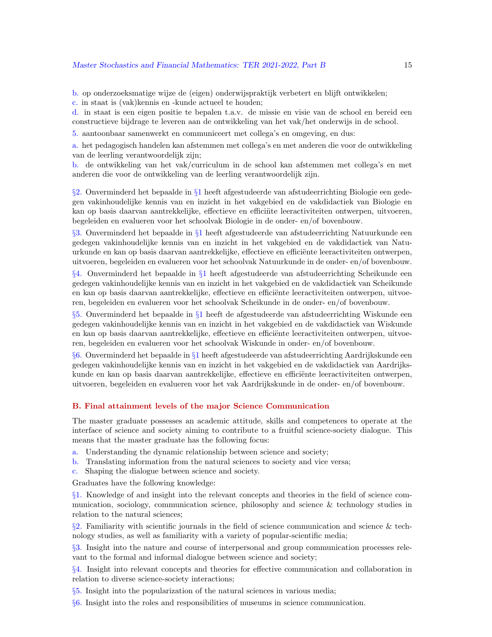b. op onderzoeksmatige wijze de (eigen) onderwijspraktijk verbetert en blijft ontwikkelen; c. in staat is (vak)kennis en -kunde actueel te houden;

d. in staat is een eigen positie te bepalen t.a.v. de missie en visie van de school en bereid een constructieve bijdrage te leveren aan de ontwikkeling van het vak/het onderwijs in de school.

5. aantoonbaar samenwerkt en communiceert met collega's en omgeving, en dus:

a. het pedagogisch handelen kan afstemmen met collega's en met anderen die voor de ontwikkeling van de leerling verantwoordelijk zijn;

b. de ontwikkeling van het vak/curriculum in de school kan afstemmen met collega's en met anderen die voor de ontwikkeling van de leerling verantwoordelijk zijn.

§2. Onverminderd het bepaalde in §1 heeft afgestudeerde van afstudeerrichting Biologie een gedegen vakinhoudelijke kennis van en inzicht in het vakgebied en de vakdidactiek van Biologie en kan op basis daarvan aantrekkelijke, effectieve en efficiëte leeractiviteiten ontwerpen, uitvoeren, begeleiden en evalueren voor het schoolvak Biologie in de onder- en/of bovenbouw.

§3. Onverminderd het bepaalde in §1 heeft afgestudeerde van afstudeerrichting Natuurkunde een gedegen vakinhoudelijke kennis van en inzicht in het vakgebied en de vakdidactiek van Natuurkunde en kan op basis daarvan aantrekkelijke, effectieve en efficiënte leeractiviteiten ontwerpen, uitvoeren, begeleiden en evalueren voor het schoolvak Natuurkunde in de onder- en/of bovenbouw.

§4. Onverminderd het bepaalde in §1 heeft afgestudeerde van afstudeerrichting Scheikunde een gedegen vakinhoudelijke kennis van en inzicht in het vakgebied en de vakdidactiek van Scheikunde en kan op basis daarvan aantrekkelijke, effectieve en efficiënte leeractiviteiten ontwerpen, uitvoeren, begeleiden en evalueren voor het schoolvak Scheikunde in de onder- en/of bovenbouw.

§5. Onverminderd het bepaalde in §1 heeft de afgestudeerde van afstudeerrichting Wiskunde een gedegen vakinhoudelijke kennis van en inzicht in het vakgebied en de vakdidactiek van Wiskunde en kan op basis daarvan aantrekkelijke, effectieve en efficiënte leeractiviteiten ontwerpen, uitvoeren, begeleiden en evalueren voor het schoolvak Wiskunde in onder- en/of bovenbouw.

§6. Onverminderd het bepaalde in §1 heeft afgestudeerde van afstudeerrichting Aardrijkskunde een gedegen vakinhoudelijke kennis van en inzicht in het vakgebied en de vakdidactiek van Aardrijkskunde en kan op basis daarvan aantrekkelijke, effectieve en efficiënte leeractiviteiten ontwerpen, uitvoeren, begeleiden en evalueren voor het vak Aardrijkskunde in de onder- en/of bovenbouw.

#### B. Final attainment levels of the major Science Communication

The master graduate possesses an academic attitude, skills and competences to operate at the interface of science and society aiming to contribute to a fruitful science-society dialogue. This means that the master graduate has the following focus:

- a. Understanding the dynamic relationship between science and society;
- b. Translating information from the natural sciences to society and vice versa;
- c. Shaping the dialogue between science and society.

Graduates have the following knowledge:

§1. Knowledge of and insight into the relevant concepts and theories in the field of science communication, sociology, communication science, philosophy and science & technology studies in relation to the natural sciences;

 $\S2$ . Familiarity with scientific journals in the field of science communication and science & technology studies, as well as familiarity with a variety of popular-scientific media;

§3. Insight into the nature and course of interpersonal and group communication processes relevant to the formal and informal dialogue between science and society;

§4. Insight into relevant concepts and theories for effective communication and collaboration in relation to diverse science-society interactions;

§5. Insight into the popularization of the natural sciences in various media;

§6. Insight into the roles and responsibilities of museums in science communication.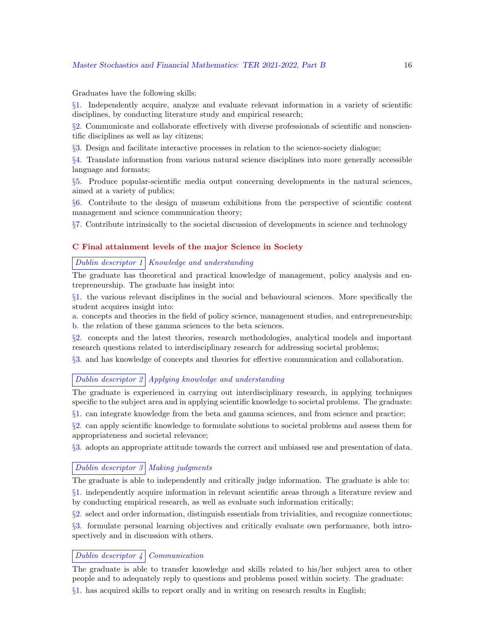#### Master Stochastics and Financial Mathematics: TER 2021-2022, Part B 16

Graduates have the following skills:

§1. Independently acquire, analyze and evaluate relevant information in a variety of scientific disciplines, by conducting literature study and empirical research;

§2. Communicate and collaborate effectively with diverse professionals of scientific and nonscientific disciplines as well as lay citizens;

§3. Design and facilitate interactive processes in relation to the science-society dialogue;

§4. Translate information from various natural science disciplines into more generally accessible language and formats;

§5. Produce popular-scientific media output concerning developments in the natural sciences, aimed at a variety of publics;

§6. Contribute to the design of museum exhibitions from the perspective of scientific content management and science communication theory;

§7. Contribute intrinsically to the societal discussion of developments in science and technology

#### C Final attainment levels of the major Science in Society

#### Dublin descriptor  $1 \vert$  Knowledge and understanding

The graduate has theoretical and practical knowledge of management, policy analysis and entrepreneurship. The graduate has insight into:

§1. the various relevant disciplines in the social and behavioural sciences. More specifically the student acquires insight into:

a. concepts and theories in the field of policy science, management studies, and entrepreneurship; b. the relation of these gamma sciences to the beta sciences.

§2. concepts and the latest theories, research methodologies, analytical models and important research questions related to interdisciplinary research for addressing societal problems;

§3. and has knowledge of concepts and theories for effective communication and collaboration.

#### Dublin descriptor 2 Applying knowledge and understanding

The graduate is experienced in carrying out interdisciplinary research, in applying techniques specific to the subject area and in applying scientific knowledge to societal problems. The graduate:

§1. can integrate knowledge from the beta and gamma sciences, and from science and practice;

§2. can apply scientific knowledge to formulate solutions to societal problems and assess them for appropriateness and societal relevance;

§3. adopts an appropriate attitude towards the correct and unbiased use and presentation of data.

#### Dublin descriptor  $3 \mid$  Making judgments

The graduate is able to independently and critically judge information. The graduate is able to: §1. independently acquire information in relevant scientific areas through a literature review and

by conducting empirical research, as well as evaluate such information critically;

§2. select and order information, distinguish essentials from trivialities, and recognize connections;

§3. formulate personal learning objectives and critically evaluate own performance, both introspectively and in discussion with others.

#### Dublin descriptor  $\frac{1}{4}$  Communication

The graduate is able to transfer knowledge and skills related to his/her subject area to other people and to adequately reply to questions and problems posed within society. The graduate: §1. has acquired skills to report orally and in writing on research results in English;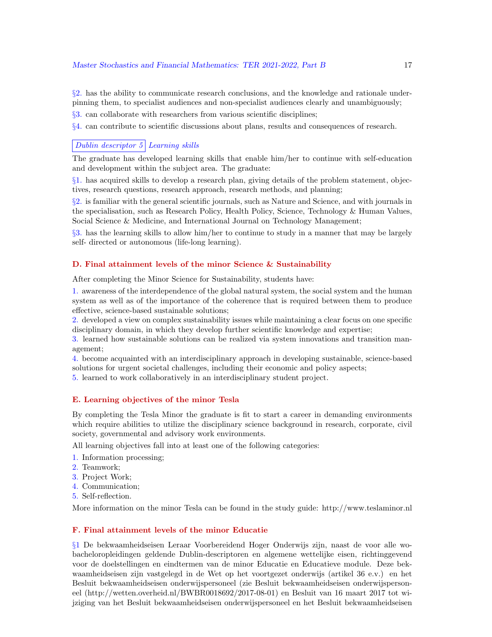#### Master Stochastics and Financial Mathematics: TER 2021-2022, Part B 17

§2. has the ability to communicate research conclusions, and the knowledge and rationale underpinning them, to specialist audiences and non-specialist audiences clearly and unambiguously;

§3. can collaborate with researchers from various scientific disciplines;

§4. can contribute to scientific discussions about plans, results and consequences of research.

#### Dublin descriptor  $5$  Learning skills

The graduate has developed learning skills that enable him/her to continue with self-education and development within the subject area. The graduate:

§1. has acquired skills to develop a research plan, giving details of the problem statement, objectives, research questions, research approach, research methods, and planning;

§2. is familiar with the general scientific journals, such as Nature and Science, and with journals in the specialisation, such as Research Policy, Health Policy, Science, Technology & Human Values, Social Science & Medicine, and International Journal on Technology Management;

§3. has the learning skills to allow him/her to continue to study in a manner that may be largely self- directed or autonomous (life-long learning).

#### D. Final attainment levels of the minor Science & Sustainability

After completing the Minor Science for Sustainability, students have:

1. awareness of the interdependence of the global natural system, the social system and the human system as well as of the importance of the coherence that is required between them to produce effective, science-based sustainable solutions;

2. developed a view on complex sustainability issues while maintaining a clear focus on one specific disciplinary domain, in which they develop further scientific knowledge and expertise;

3. learned how sustainable solutions can be realized via system innovations and transition management;

4. become acquainted with an interdisciplinary approach in developing sustainable, science-based solutions for urgent societal challenges, including their economic and policy aspects;

5. learned to work collaboratively in an interdisciplinary student project.

#### E. Learning objectives of the minor Tesla

By completing the Tesla Minor the graduate is fit to start a career in demanding environments which require abilities to utilize the disciplinary science background in research, corporate, civil society, governmental and advisory work environments.

All learning objectives fall into at least one of the following categories:

- 1. Information processing;
- 2. Teamwork;
- 3. Project Work;
- 4. Communication;
- 5. Self-reflection.

More information on the minor Tesla can be found in the study guide: http://www.teslaminor.nl

#### F. Final attainment levels of the minor Educatie

§1 De bekwaamheidseisen Leraar Voorbereidend Hoger Onderwijs zijn, naast de voor alle wobacheloropleidingen geldende Dublin-descriptoren en algemene wettelijke eisen, richtinggevend voor de doelstellingen en eindtermen van de minor Educatie en Educatieve module. Deze bekwaamheidseisen zijn vastgelegd in de Wet op het voortgezet onderwijs (artikel 36 e.v.) en het Besluit bekwaamheidseisen onderwijspersoneel (zie Besluit bekwaamheidseisen onderwijspersoneel (http://wetten.overheid.nl/BWBR0018692/2017-08-01) en Besluit van 16 maart 2017 tot wijziging van het Besluit bekwaamheidseisen onderwijspersoneel en het Besluit bekwaamheidseisen